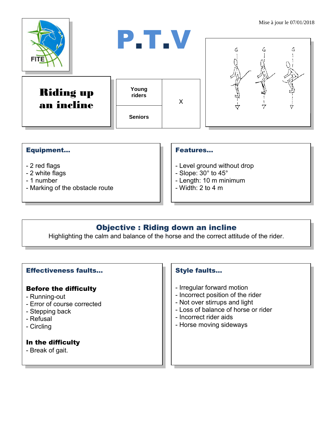

### Equipment...

- 2 red flags
- 2 white flags
- 1 number
- Marking of the obstacle route

#### Features…

- Level ground without drop
- Slope: 30° to 45°
- Length: 10 m minimum
- $-$  Width: 2 to 4 m

## Objective : Riding down an incline

Highlighting the calm and balance of the horse and the correct attitude of the rider.

#### Effectiveness faults…

#### Before the difficulty

- Running-out
- Error of course corrected
- Stepping back
- Refusal
- Circling

#### In the difficulty

- Break of gait.

#### Style faults…

- Irregular forward motion
- Incorrect position of the rider
- Not over stirrups and light
- Loss of balance of horse or rider
- Incorrect rider aids
- Horse moving sideways